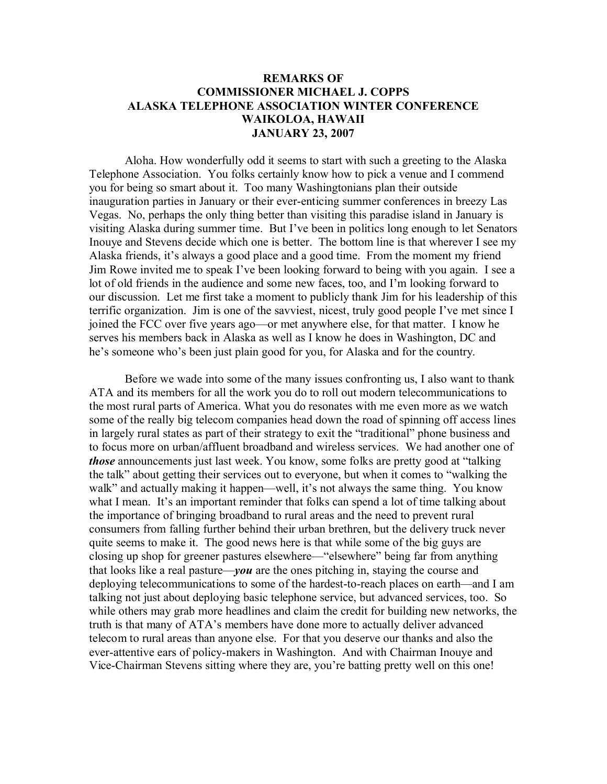## **REMARKS OF COMMISSIONER MICHAEL J. COPPS ALASKA TELEPHONE ASSOCIATION WINTER CONFERENCE WAIKOLOA, HAWAII JANUARY 23, 2007**

Aloha. How wonderfully odd it seems to start with such a greeting to the Alaska Telephone Association. You folks certainly know how to pick a venue and I commend you for being so smart about it. Too many Washingtonians plan their outside inauguration parties in January or their ever-enticing summer conferences in breezy Las Vegas. No, perhaps the only thing better than visiting this paradise island in January is visiting Alaska during summer time. But I've been in politics long enough to let Senators Inouye and Stevens decide which one is better. The bottom line is that wherever I see my Alaska friends, it's always a good place and a good time. From the moment my friend Jim Rowe invited me to speak I've been looking forward to being with you again. I see a lot of old friends in the audience and some new faces, too, and I'm looking forward to our discussion. Let me first take a moment to publicly thank Jim for his leadership of this terrific organization. Jim is one of the savviest, nicest, truly good people I've met since I joined the FCC over five years ago—or met anywhere else, for that matter. I know he serves his members back in Alaska as well as I know he does in Washington, DC and he's someone who's been just plain good for you, for Alaska and for the country.

Before we wade into some of the many issues confronting us, I also want to thank ATA and its members for all the work you do to roll out modern telecommunications to the most rural parts of America. What you do resonates with me even more as we watch some of the really big telecom companies head down the road of spinning off access lines in largely rural states as part of their strategy to exit the "traditional" phone business and to focus more on urban/affluent broadband and wireless services. We had another one of *those* announcements just last week. You know, some folks are pretty good at "talking the talk" about getting their services out to everyone, but when it comes to "walking the walk" and actually making it happen—well, it's not always the same thing. You know what I mean. It's an important reminder that folks can spend a lot of time talking about the importance of bringing broadband to rural areas and the need to prevent rural consumers from falling further behind their urban brethren, but the delivery truck never quite seems to make it. The good news here is that while some of the big guys are closing up shop for greener pastures elsewhere—"elsewhere" being far from anything that looks like a real pasture—*you* are the ones pitching in, staying the course and deploying telecommunications to some of the hardest-to-reach places on earth—and I am talking not just about deploying basic telephone service, but advanced services, too. So while others may grab more headlines and claim the credit for building new networks, the truth is that many of ATA's members have done more to actually deliver advanced telecom to rural areas than anyone else. For that you deserve our thanks and also the ever-attentive ears of policy-makers in Washington. And with Chairman Inouye and Vice-Chairman Stevens sitting where they are, you're batting pretty well on this one!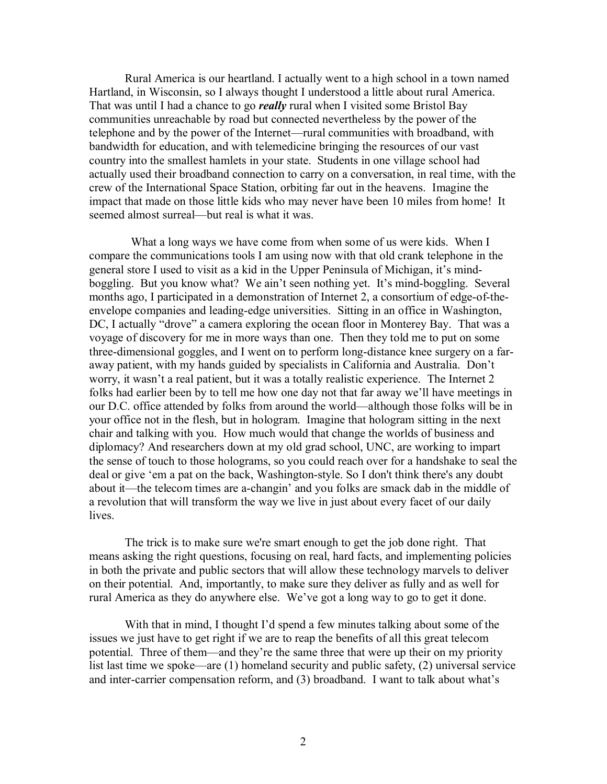Rural America is our heartland. I actually went to a high school in a town named Hartland, in Wisconsin, so I always thought I understood a little about rural America. That was until I had a chance to go *really* rural when I visited some Bristol Bay communities unreachable by road but connected nevertheless by the power of the telephone and by the power of the Internet—rural communities with broadband, with bandwidth for education, and with telemedicine bringing the resources of our vast country into the smallest hamlets in your state. Students in one village school had actually used their broadband connection to carry on a conversation, in real time, with the crew of the International Space Station, orbiting far out in the heavens. Imagine the impact that made on those little kids who may never have been 10 miles from home! It seemed almost surreal—but real is what it was.

What a long ways we have come from when some of us were kids. When I compare the communications tools I am using now with that old crank telephone in the general store I used to visit as a kid in the Upper Peninsula of Michigan, it's mindboggling. But you know what? We ain't seen nothing yet. It's mind-boggling. Several months ago, I participated in a demonstration of Internet 2, a consortium of edge-of-theenvelope companies and leading-edge universities. Sitting in an office in Washington, DC, I actually "drove" a camera exploring the ocean floor in Monterey Bay. That was a voyage of discovery for me in more ways than one. Then they told me to put on some three-dimensional goggles, and I went on to perform long-distance knee surgery on a faraway patient, with my hands guided by specialists in California and Australia. Don't worry, it wasn't a real patient, but it was a totally realistic experience. The Internet 2 folks had earlier been by to tell me how one day not that far away we'll have meetings in our D.C. office attended by folks from around the world—although those folks will be in your office not in the flesh, but in hologram. Imagine that hologram sitting in the next chair and talking with you. How much would that change the worlds of business and diplomacy? And researchers down at my old grad school, UNC, are working to impart the sense of touch to those holograms, so you could reach over for a handshake to seal the deal or give 'em a pat on the back, Washington-style. So I don't think there's any doubt about it—the telecom times are a-changin' and you folks are smack dab in the middle of a revolution that will transform the way we live in just about every facet of our daily lives.

The trick is to make sure we're smart enough to get the job done right. That means asking the right questions, focusing on real, hard facts, and implementing policies in both the private and public sectors that will allow these technology marvels to deliver on their potential. And, importantly, to make sure they deliver as fully and as well for rural America as they do anywhere else. We've got a long way to go to get it done.

With that in mind, I thought I'd spend a few minutes talking about some of the issues we just have to get right if we are to reap the benefits of all this great telecom potential. Three of them—and they're the same three that were up their on my priority list last time we spoke—are (1) homeland security and public safety, (2) universal service and inter-carrier compensation reform, and (3) broadband. I want to talk about what's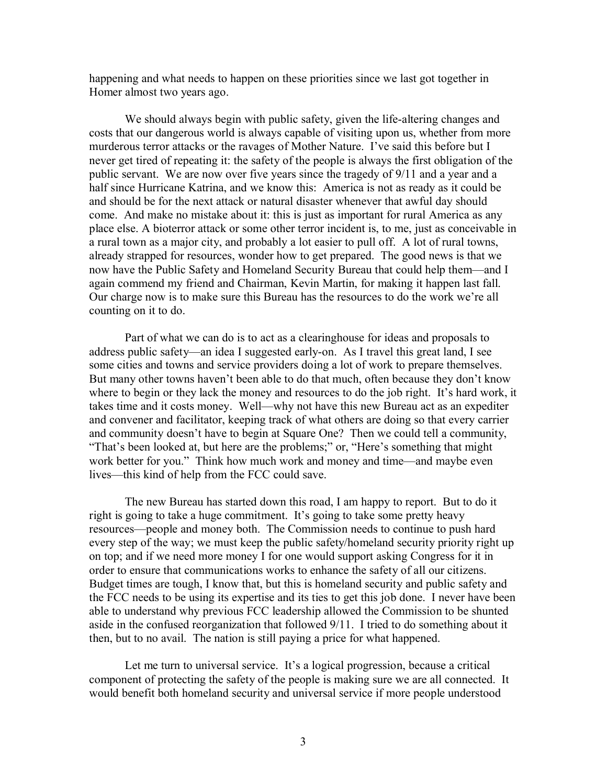happening and what needs to happen on these priorities since we last got together in Homer almost two years ago.

We should always begin with public safety, given the life-altering changes and costs that our dangerous world is always capable of visiting upon us, whether from more murderous terror attacks or the ravages of Mother Nature. I've said this before but I never get tired of repeating it: the safety of the people is always the first obligation of the public servant. We are now over five years since the tragedy of 9/11 and a year and a half since Hurricane Katrina, and we know this: America is not as ready as it could be and should be for the next attack or natural disaster whenever that awful day should come. And make no mistake about it: this is just as important for rural America as any place else. A bioterror attack or some other terror incident is, to me, just as conceivable in a rural town as a major city, and probably a lot easier to pull off. A lot of rural towns, already strapped for resources, wonder how to get prepared. The good news is that we now have the Public Safety and Homeland Security Bureau that could help them—and I again commend my friend and Chairman, Kevin Martin, for making it happen last fall. Our charge now is to make sure this Bureau has the resources to do the work we're all counting on it to do.

Part of what we can do is to act as a clearinghouse for ideas and proposals to address public safety—an idea I suggested early-on. As I travel this great land, I see some cities and towns and service providers doing a lot of work to prepare themselves. But many other towns haven't been able to do that much, often because they don't know where to begin or they lack the money and resources to do the job right. It's hard work, it takes time and it costs money. Well—why not have this new Bureau act as an expediter and convener and facilitator, keeping track of what others are doing so that every carrier and community doesn't have to begin at Square One? Then we could tell a community, "That's been looked at, but here are the problems;" or, "Here's something that might work better for you." Think how much work and money and time—and maybe even lives—this kind of help from the FCC could save.

The new Bureau has started down this road, I am happy to report. But to do it right is going to take a huge commitment. It's going to take some pretty heavy resources—people and money both. The Commission needs to continue to push hard every step of the way; we must keep the public safety/homeland security priority right up on top; and if we need more money I for one would support asking Congress for it in order to ensure that communications works to enhance the safety of all our citizens. Budget times are tough, I know that, but this is homeland security and public safety and the FCC needs to be using its expertise and its ties to get this job done. I never have been able to understand why previous FCC leadership allowed the Commission to be shunted aside in the confused reorganization that followed 9/11. I tried to do something about it then, but to no avail. The nation is still paying a price for what happened.

Let me turn to universal service. It's a logical progression, because a critical component of protecting the safety of the people is making sure we are all connected. It would benefit both homeland security and universal service if more people understood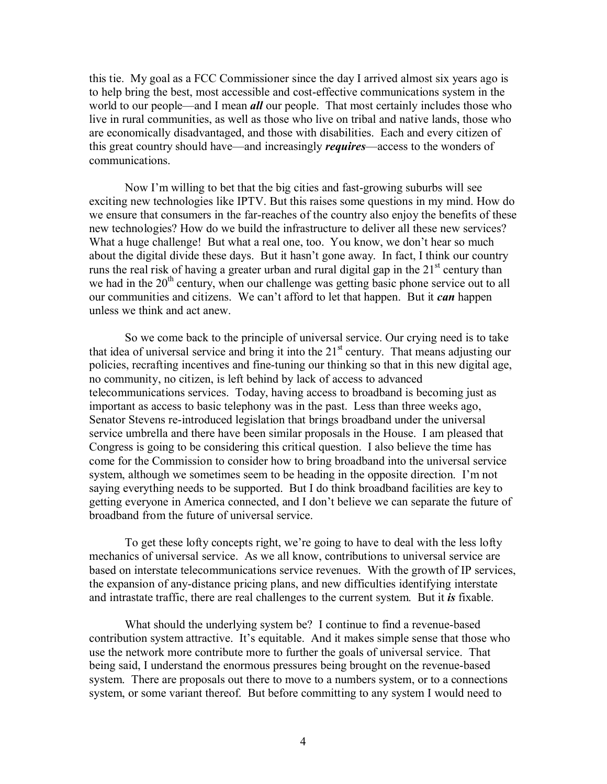this tie. My goal as a FCC Commissioner since the day I arrived almost six years ago is to help bring the best, most accessible and cost-effective communications system in the world to our people—and I mean *all* our people. That most certainly includes those who live in rural communities, as well as those who live on tribal and native lands, those who are economically disadvantaged, and those with disabilities. Each and every citizen of this great country should have—and increasingly *requires*—access to the wonders of communications.

Now I'm willing to bet that the big cities and fast-growing suburbs will see exciting new technologies like IPTV. But this raises some questions in my mind. How do we ensure that consumers in the far-reaches of the country also enjoy the benefits of these new technologies? How do we build the infrastructure to deliver all these new services? What a huge challenge! But what a real one, too. You know, we don't hear so much about the digital divide these days. But it hasn't gone away. In fact, I think our country runs the real risk of having a greater urban and rural digital gap in the  $21<sup>st</sup>$  century than we had in the 20<sup>th</sup> century, when our challenge was getting basic phone service out to all our communities and citizens. We can't afford to let that happen. But it *can* happen unless we think and act anew.

So we come back to the principle of universal service. Our crying need is to take that idea of universal service and bring it into the  $21<sup>st</sup>$  century. That means adjusting our policies, recrafting incentives and fine-tuning our thinking so that in this new digital age, no community, no citizen, is left behind by lack of access to advanced telecommunications services. Today, having access to broadband is becoming just as important as access to basic telephony was in the past. Less than three weeks ago, Senator Stevens re-introduced legislation that brings broadband under the universal service umbrella and there have been similar proposals in the House. I am pleased that Congress is going to be considering this critical question. I also believe the time has come for the Commission to consider how to bring broadband into the universal service system, although we sometimes seem to be heading in the opposite direction. I'm not saying everything needs to be supported. But I do think broadband facilities are key to getting everyone in America connected, and I don't believe we can separate the future of broadband from the future of universal service.

To get these lofty concepts right, we're going to have to deal with the less lofty mechanics of universal service. As we all know, contributions to universal service are based on interstate telecommunications service revenues. With the growth of IP services, the expansion of any-distance pricing plans, and new difficulties identifying interstate and intrastate traffic, there are real challenges to the current system. But it *is* fixable.

What should the underlying system be? I continue to find a revenue-based contribution system attractive. It's equitable. And it makes simple sense that those who use the network more contribute more to further the goals of universal service. That being said, I understand the enormous pressures being brought on the revenue-based system. There are proposals out there to move to a numbers system, or to a connections system, or some variant thereof. But before committing to any system I would need to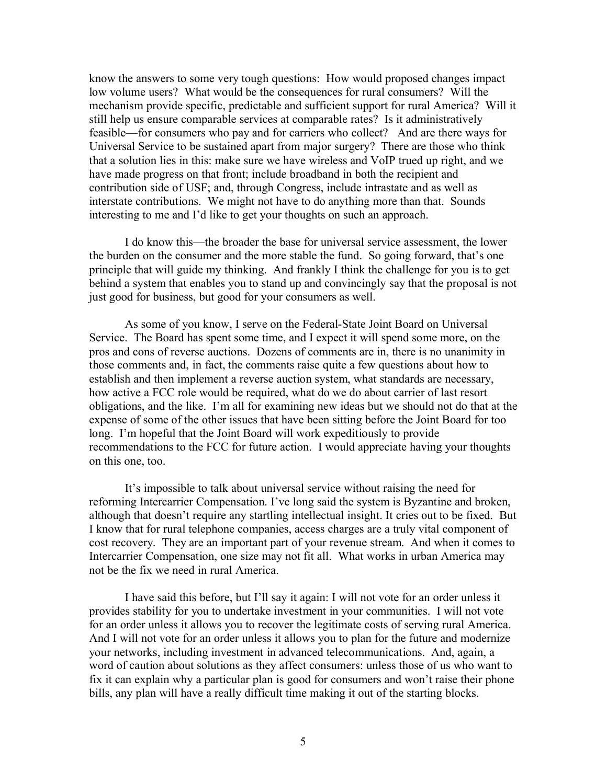know the answers to some very tough questions: How would proposed changes impact low volume users? What would be the consequences for rural consumers? Will the mechanism provide specific, predictable and sufficient support for rural America? Will it still help us ensure comparable services at comparable rates? Is it administratively feasible—for consumers who pay and for carriers who collect? And are there ways for Universal Service to be sustained apart from major surgery? There are those who think that a solution lies in this: make sure we have wireless and VoIP trued up right, and we have made progress on that front; include broadband in both the recipient and contribution side of USF; and, through Congress, include intrastate and as well as interstate contributions. We might not have to do anything more than that. Sounds interesting to me and I'd like to get your thoughts on such an approach.

I do know this—the broader the base for universal service assessment, the lower the burden on the consumer and the more stable the fund. So going forward, that's one principle that will guide my thinking. And frankly I think the challenge for you is to get behind a system that enables you to stand up and convincingly say that the proposal is not just good for business, but good for your consumers as well.

As some of you know, I serve on the Federal-State Joint Board on Universal Service. The Board has spent some time, and I expect it will spend some more, on the pros and cons of reverse auctions. Dozens of comments are in, there is no unanimity in those comments and, in fact, the comments raise quite a few questions about how to establish and then implement a reverse auction system, what standards are necessary, how active a FCC role would be required, what do we do about carrier of last resort obligations, and the like. I'm all for examining new ideas but we should not do that at the expense of some of the other issues that have been sitting before the Joint Board for too long. I'm hopeful that the Joint Board will work expeditiously to provide recommendations to the FCC for future action. I would appreciate having your thoughts on this one, too.

It's impossible to talk about universal service without raising the need for reforming Intercarrier Compensation. I've long said the system is Byzantine and broken, although that doesn't require any startling intellectual insight. It cries out to be fixed. But I know that for rural telephone companies, access charges are a truly vital component of cost recovery. They are an important part of your revenue stream. And when it comes to Intercarrier Compensation, one size may not fit all. What works in urban America may not be the fix we need in rural America.

I have said this before, but I'll say it again: I will not vote for an order unless it provides stability for you to undertake investment in your communities. I will not vote for an order unless it allows you to recover the legitimate costs of serving rural America. And I will not vote for an order unless it allows you to plan for the future and modernize your networks, including investment in advanced telecommunications. And, again, a word of caution about solutions as they affect consumers: unless those of us who want to fix it can explain why a particular plan is good for consumers and won't raise their phone bills, any plan will have a really difficult time making it out of the starting blocks.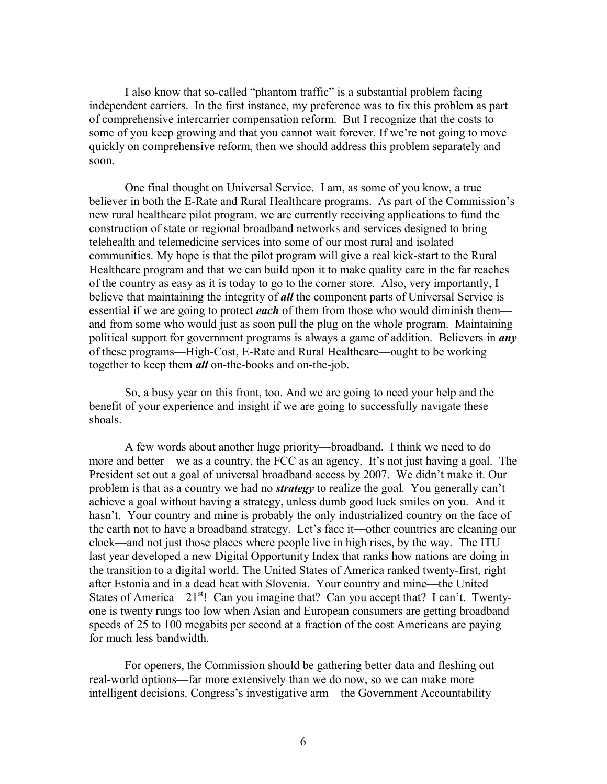I also know that so-called "phantom traffic" is a substantial problem facing independent carriers. In the first instance, my preference was to fix this problem as part of comprehensive intercarrier compensation reform. But I recognize that the costs to some of you keep growing and that you cannot wait forever. If we're not going to move quickly on comprehensive reform, then we should address this problem separately and soon.

One final thought on Universal Service. I am, as some of you know, a true believer in both the E-Rate and Rural Healthcare programs. As part of the Commission's new rural healthcare pilot program, we are currently receiving applications to fund the construction of state or regional broadband networks and services designed to bring telehealth and telemedicine services into some of our most rural and isolated communities. My hope is that the pilot program will give a real kick-start to the Rural Healthcare program and that we can build upon it to make quality care in the far reaches of the country as easy as it is today to go to the corner store. Also, very importantly, I believe that maintaining the integrity of *all* the component parts of Universal Service is essential if we are going to protect *each* of them from those who would diminish them and from some who would just as soon pull the plug on the whole program. Maintaining political support for government programs is always a game of addition. Believers in *any* of these programs—High-Cost, E-Rate and Rural Healthcare—ought to be working together to keep them *all* on-the-books and on-the-job.

So, a busy year on this front, too. And we are going to need your help and the benefit of your experience and insight if we are going to successfully navigate these shoals.

A few words about another huge priority—broadband. I think we need to do more and better—we as a country, the FCC as an agency. It's not just having a goal. The President set out a goal of universal broadband access by 2007. We didn't make it. Our problem is that as a country we had no *strategy* to realize the goal. You generally can't achieve a goal without having a strategy, unless dumb good luck smiles on you. And it hasn't. Your country and mine is probably the only industrialized country on the face of the earth not to have a broadband strategy. Let's face it—other countries are cleaning our clock—and not just those places where people live in high rises, by the way. The ITU last year developed a new Digital Opportunity Index that ranks how nations are doing in the transition to a digital world. The United States of America ranked twenty-first, right after Estonia and in a dead heat with Slovenia. Your country and mine—the United States of America—21 $^{st}$ ! Can you imagine that? Can you accept that? I can't. Twentyone is twenty rungs too low when Asian and European consumers are getting broadband speeds of 25 to 100 megabits per second at a fraction of the cost Americans are paying for much less bandwidth.

For openers, the Commission should be gathering better data and fleshing out real-world options—far more extensively than we do now, so we can make more intelligent decisions. Congress's investigative arm—the Government Accountability